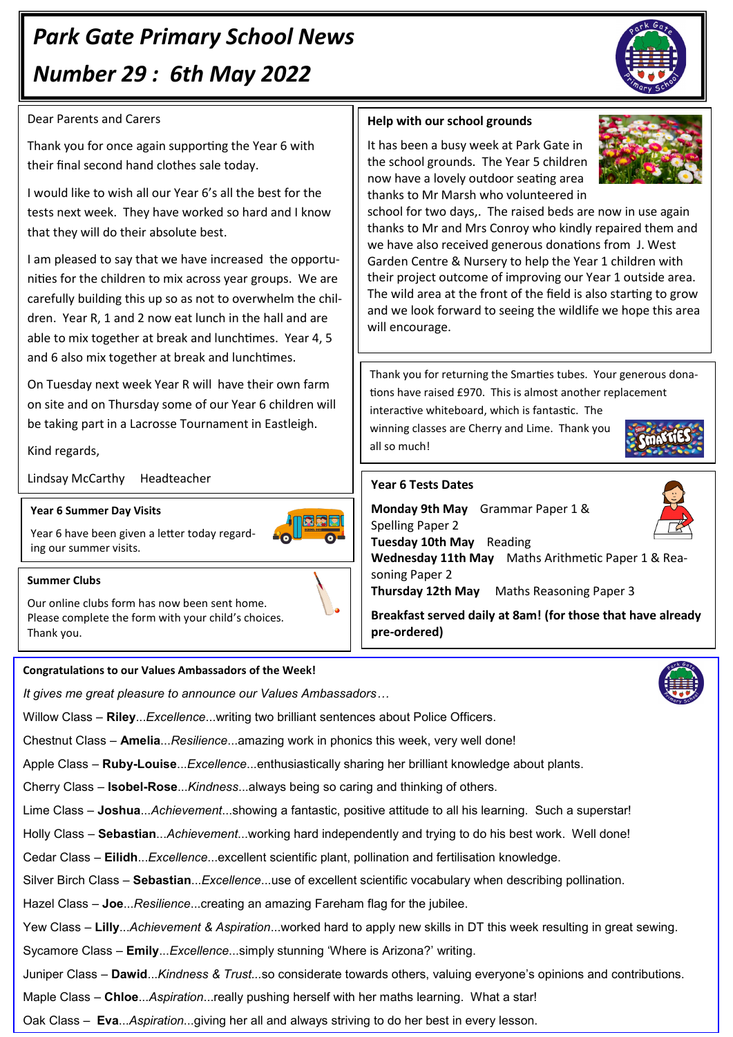# *Park Gate Primary School News Number 29 : 6th May 2022*

# Dear Parents and Carers

Thank you for once again supporting the Year 6 with their final second hand clothes sale today.

I would like to wish all our Year 6's all the best for the tests next week. They have worked so hard and I know that they will do their absolute best.

I am pleased to say that we have increased the opportunities for the children to mix across year groups. We are carefully building this up so as not to overwhelm the children. Year R, 1 and 2 now eat lunch in the hall and are able to mix together at break and lunchtimes. Year 4, 5 and 6 also mix together at break and lunchtimes.

On Tuesday next week Year R will have their own farm on site and on Thursday some of our Year 6 children will be taking part in a Lacrosse Tournament in Eastleigh.

# Kind regards,

Lindsay McCarthy Headteacher

## **Year 6 Summer Day Visits**

Year 6 have been given a letter today regarding our summer visits.

#### **Summer Clubs**

Our online clubs form has now been sent home. Please complete the form with your child's choices. Thank you.

#### **Congratulations to our Values Ambassadors of the Week!**

*It gives me great pleasure to announce our Values Ambassadors…*

Willow Class – **Riley**...*Excellence*...writing two brilliant sentences about Police Officers.

Chestnut Class – **Amelia**...*Resilience*...amazing work in phonics this week, very well done!

Apple Class – **Ruby-Louise**...*Excellence*...enthusiastically sharing her brilliant knowledge about plants.

Cherry Class – **Isobel-Rose**...*Kindness*...always being so caring and thinking of others.

Lime Class – **Joshua**...*Achievement*...showing a fantastic, positive attitude to all his learning. Such a superstar!

Holly Class – **Sebastian**...*Achievement*...working hard independently and trying to do his best work. Well done!

Cedar Class – **Eilidh**...*Excellence*...excellent scientific plant, pollination and fertilisation knowledge.

Silver Birch Class – **Sebastian**...*Excellence*...use of excellent scientific vocabulary when describing pollination.

Hazel Class *–* **Joe**...*Resilience*...creating an amazing Fareham flag for the jubilee.

Yew Class – **Lilly**...*Achievement & Aspiration*...worked hard to apply new skills in DT this week resulting in great sewing.

Sycamore Class – **Emily**...*Excellence*...simply stunning 'Where is Arizona?' writing.

Juniper Class – **Dawid**...*Kindness & Trust...*so considerate towards others, valuing everyone's opinions and contributions.

Maple Class – **Chloe**...*Aspiration*...really pushing herself with her maths learning. What a star!

Oak Class – **Eva**...*Aspiration*...giving her all and always striving to do her best in every lesson.

## **Help with our school grounds**

It has been a busy week at Park Gate in the school grounds. The Year 5 children now have a lovely outdoor seating area thanks to Mr Marsh who volunteered in



Thank you for returning the Smarties tubes. Your generous donations have raised £970. This is almost another replacement interactive whiteboard, which is fantastic. The winning classes are Cherry and Lime. Thank you all so much!

### **Year 6 Tests Dates**

**Monday 9th May** Grammar Paper 1 & Spelling Paper 2

**Tuesday 10th May** Reading

**Wednesday 11th May** Maths Arithmetic Paper 1 & Reasoning Paper 2

**Thursday 12th May** Maths Reasoning Paper 3

**Breakfast served daily at 8am! (for those that have already pre-ordered)**